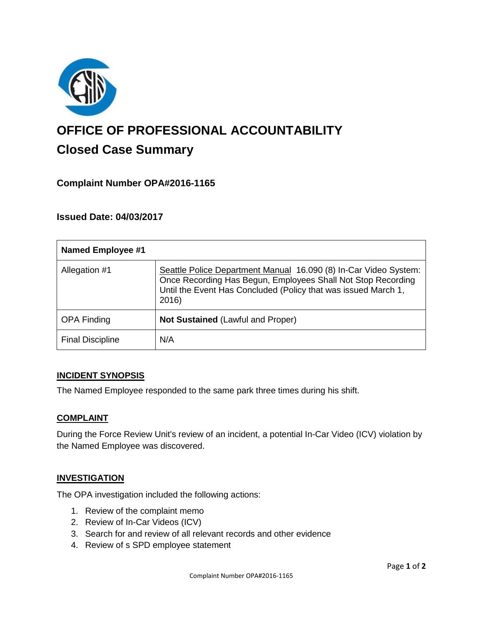

# **OFFICE OF PROFESSIONAL ACCOUNTABILITY Closed Case Summary**

# **Complaint Number OPA#2016-1165**

# **Issued Date: 04/03/2017**

| <b>Named Employee #1</b> |                                                                                                                                                                                                             |
|--------------------------|-------------------------------------------------------------------------------------------------------------------------------------------------------------------------------------------------------------|
| Allegation #1            | Seattle Police Department Manual 16.090 (8) In-Car Video System:<br>Once Recording Has Begun, Employees Shall Not Stop Recording<br>Until the Event Has Concluded (Policy that was issued March 1,<br>2016) |
| <b>OPA Finding</b>       | <b>Not Sustained (Lawful and Proper)</b>                                                                                                                                                                    |
| <b>Final Discipline</b>  | N/A                                                                                                                                                                                                         |

## **INCIDENT SYNOPSIS**

The Named Employee responded to the same park three times during his shift.

#### **COMPLAINT**

During the Force Review Unit's review of an incident, a potential In-Car Video (ICV) violation by the Named Employee was discovered.

#### **INVESTIGATION**

The OPA investigation included the following actions:

- 1. Review of the complaint memo
- 2. Review of In-Car Videos (ICV)
- 3. Search for and review of all relevant records and other evidence
- 4. Review of s SPD employee statement